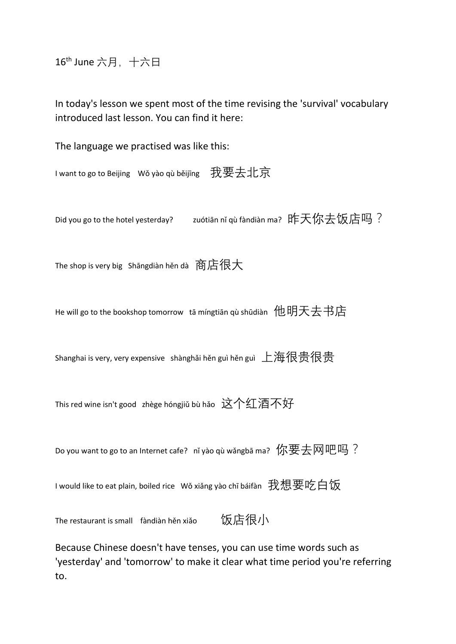16<sup>th</sup> June 六月, 十六日

In today's lesson we spent most of the time revising the 'survival' vocabulary introduced last lesson. You can find it here:

The language we practised was like this:

I want to go to Beijing Wǒ yào qù běijīng 我要去北京

Did you go to the hotel yesterday? zuótiān nǐ qù fàndiàn ma? 昨天你去饭店吗?

The shop is very big Shāngdiàn hěn dà 商店很大

He will go to the bookshop tomorrow tā míngtiān qù shūdiàn 他明天去书店

Shanghai is very, very expensive shànghǎi hěn guì hěn guì 上海很贵很贵

This red wine isn't good zhège hóngjiǔ bù hǎo 这个红酒不好

Do you want to go to an Internet cafe? nǐ yào qù wǎngbā ma? 你要去网吧吗?

I would like to eat plain, boiled rice Wǒ xiǎng yào chī báifàn 我想要吃白饭

The restaurant is small fàndiàn hěn xiǎo 饭店很小

Because Chinese doesn't have tenses, you can use time words such as 'yesterday' and 'tomorrow' to make it clear what time period you're referring to.